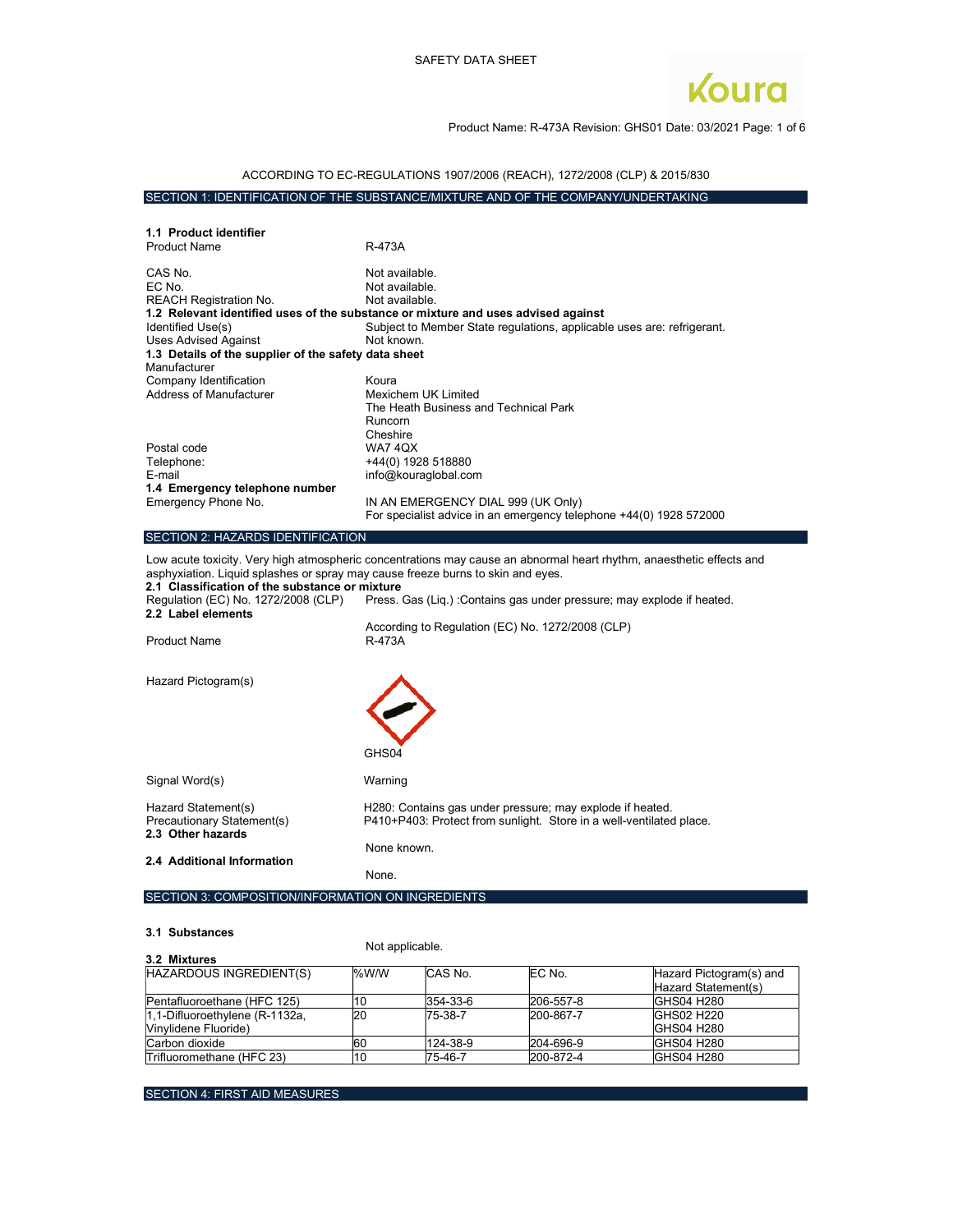

# Product Name: R-473A Revision: GHS01 Date: 03/2021 Page: 1 of 6

# ACCORDING TO EC-REGULATIONS 1907/2006 (REACH), 1272/2008 (CLP) & 2015/830

# SECTION 1: IDENTIFICATION OF THE SUBSTANCE/MIXTURE AND OF THE COMPANY/UNDERTAKING

| 1.1 Product identifier                                                          |                                                                                                                      |
|---------------------------------------------------------------------------------|----------------------------------------------------------------------------------------------------------------------|
| <b>Product Name</b>                                                             | R-473A                                                                                                               |
| CAS No.                                                                         | Not available.                                                                                                       |
| EC No.                                                                          | Not available.                                                                                                       |
| <b>REACH Registration No.</b>                                                   | Not available.                                                                                                       |
|                                                                                 | 1.2 Relevant identified uses of the substance or mixture and uses advised against                                    |
| Identified Use(s)                                                               | Subject to Member State regulations, applicable uses are: refrigerant.                                               |
| <b>Uses Advised Against</b>                                                     | Not known.                                                                                                           |
| 1.3 Details of the supplier of the safety data sheet                            |                                                                                                                      |
| Manufacturer                                                                    |                                                                                                                      |
| Company Identification                                                          | Koura                                                                                                                |
| <b>Address of Manufacturer</b>                                                  | Mexichem UK Limited                                                                                                  |
|                                                                                 | The Heath Business and Technical Park                                                                                |
|                                                                                 | Runcorn                                                                                                              |
| Postal code                                                                     | Cheshire<br><b>WA74QX</b>                                                                                            |
| Telephone:                                                                      | +44(0) 1928 518880                                                                                                   |
| E-mail                                                                          | info@kouraglobal.com                                                                                                 |
| 1.4 Emergency telephone number                                                  |                                                                                                                      |
| Emergency Phone No.                                                             | IN AN EMERGENCY DIAL 999 (UK Only)                                                                                   |
|                                                                                 | For specialist advice in an emergency telephone +44(0) 1928 572000                                                   |
|                                                                                 |                                                                                                                      |
| SECTION 2: HAZARDS IDENTIFICATION                                               |                                                                                                                      |
| asphyxiation. Liquid splashes or spray may cause freeze burns to skin and eyes. | Low acute toxicity. Very high atmospheric concentrations may cause an abnormal heart rhythm, anaesthetic effects and |
| 2.1 Classification of the substance or mixture                                  |                                                                                                                      |
| Regulation (EC) No. 1272/2008 (CLP)<br>2.2 Label elements                       | Press. Gas (Liq.) : Contains gas under pressure; may explode if heated.                                              |
|                                                                                 | According to Regulation (EC) No. 1272/2008 (CLP)                                                                     |
| <b>Product Name</b>                                                             | R-473A                                                                                                               |
|                                                                                 |                                                                                                                      |
|                                                                                 |                                                                                                                      |
| Hazard Pictogram(s)                                                             |                                                                                                                      |
|                                                                                 |                                                                                                                      |
|                                                                                 |                                                                                                                      |
|                                                                                 |                                                                                                                      |
|                                                                                 |                                                                                                                      |
|                                                                                 | GHS04                                                                                                                |
|                                                                                 |                                                                                                                      |
| Signal Word(s)                                                                  | Warning                                                                                                              |
| Hazard Statement(s)                                                             | H280: Contains gas under pressure; may explode if heated.                                                            |
| Precautionary Statement(s)                                                      | P410+P403: Protect from sunlight. Store in a well-ventilated place.                                                  |
| 2.3 Other hazards                                                               |                                                                                                                      |
|                                                                                 | None known.                                                                                                          |
| 2.4 Additional Information                                                      |                                                                                                                      |
|                                                                                 | None.                                                                                                                |
|                                                                                 |                                                                                                                      |

#### 3.1 Substances

### Not applicable.

|                                | <b>TYOL UPPROUNTS.</b> |          |           |                         |
|--------------------------------|------------------------|----------|-----------|-------------------------|
| 3.2 Mixtures                   |                        |          |           |                         |
| HAZARDOUS INGREDIENT(S)        | $\frac{9}{6}$ W/W      | CAS No.  | EC No.    | Hazard Pictogram(s) and |
|                                |                        |          |           | Hazard Statement(s)     |
| Pentafluoroethane (HFC 125)    | 10                     | 354-33-6 | 206-557-8 | GHS04 H280              |
| 1,1-Difluoroethylene (R-1132a, | 20                     | 75-38-7  | 200-867-7 | <b>GHS02 H220</b>       |
| Vinvlidene Fluoride)           |                        |          |           | <b>GHS04 H280</b>       |
| Carbon dioxide                 | 160                    | 124-38-9 | 204-696-9 | <b>GHS04 H280</b>       |
| Trifluoromethane (HFC 23)      | <b>10</b>              | 75-46-7  | 200-872-4 | GHS04 H280              |

SECTION 4: FIRST AID MEASURES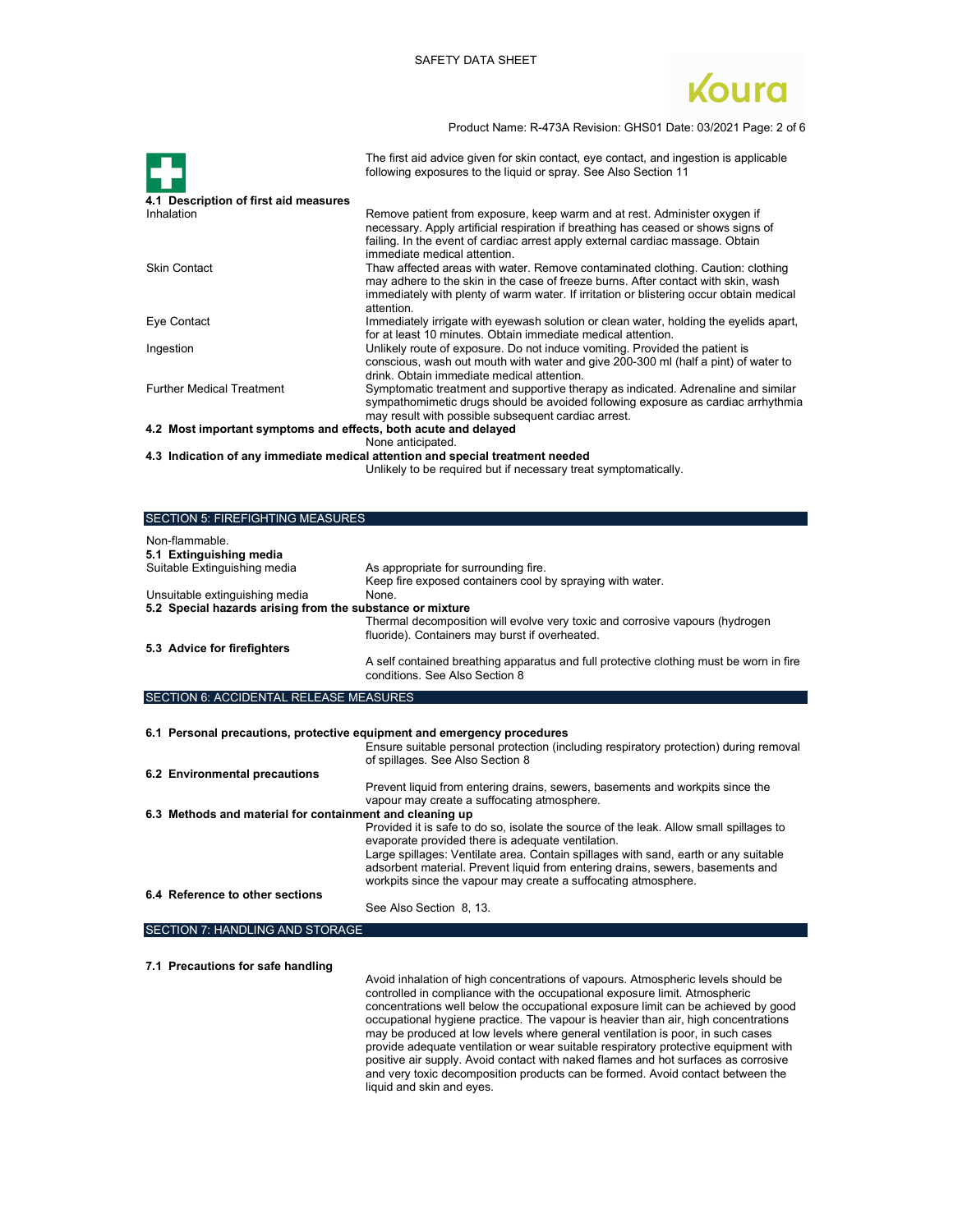

Product Name: R-473A Revision: GHS01 Date: 03/2021 Page: 2 of 6

|                                                                 | The first aid advice given for skin contact, eye contact, and ingestion is applicable<br>following exposures to the liquid or spray. See Also Section 11                                                                                                                        |
|-----------------------------------------------------------------|---------------------------------------------------------------------------------------------------------------------------------------------------------------------------------------------------------------------------------------------------------------------------------|
| 4.1 Description of first aid measures                           |                                                                                                                                                                                                                                                                                 |
| Inhalation                                                      | Remove patient from exposure, keep warm and at rest. Administer oxygen if<br>necessary. Apply artificial respiration if breathing has ceased or shows signs of<br>failing. In the event of cardiac arrest apply external cardiac massage. Obtain<br>immediate medical attention |
| <b>Skin Contact</b>                                             | Thaw affected areas with water. Remove contaminated clothing. Caution: clothing<br>may adhere to the skin in the case of freeze burns. After contact with skin, wash<br>immediately with plenty of warm water. If irritation or blistering occur obtain medical<br>attention.   |
| Eye Contact                                                     | Immediately irrigate with eyewash solution or clean water, holding the eyelids apart,<br>for at least 10 minutes. Obtain immediate medical attention.                                                                                                                           |
| Ingestion                                                       | Unlikely route of exposure. Do not induce vomiting. Provided the patient is<br>conscious, wash out mouth with water and give 200-300 ml (half a pint) of water to<br>drink. Obtain immediate medical attention.                                                                 |
| <b>Further Medical Treatment</b>                                | Symptomatic treatment and supportive therapy as indicated. Adrenaline and similar<br>sympathomimetic drugs should be avoided following exposure as cardiac arrhythmia<br>may result with possible subsequent cardiac arrest.                                                    |
| 4.2 Most important symptoms and effects, both acute and delayed |                                                                                                                                                                                                                                                                                 |
|                                                                 | None anticipated.                                                                                                                                                                                                                                                               |
|                                                                 | 4.3 Indication of any immediate medical attention and special treatment needed                                                                                                                                                                                                  |
|                                                                 | Unlikely to be required but if necessary treat symptomatically.                                                                                                                                                                                                                 |

| <b>SECTION 5: FIREFIGHTING MEASURES</b>                   |                                                                                                                                |
|-----------------------------------------------------------|--------------------------------------------------------------------------------------------------------------------------------|
| Non-flammable<br>5.1 Extinguishing media                  |                                                                                                                                |
| Suitable Extinguishing media                              | As appropriate for surrounding fire.                                                                                           |
|                                                           | Keep fire exposed containers cool by spraying with water.                                                                      |
| Unsuitable extinguishing media                            | None.                                                                                                                          |
| 5.2 Special hazards arising from the substance or mixture |                                                                                                                                |
|                                                           | Thermal decomposition will evolve very toxic and corrosive vapours (hydrogen<br>fluoride). Containers may burst if overheated. |
| 5.3 Advice for firefighters                               |                                                                                                                                |
|                                                           | A self contained breathing apparatus and full protective clothing must be worn in fire<br>conditions. See Also Section 8       |

#### SECTION 6: ACCIDENTAL RELEASE MEASURES

|                                                          | 6.1 Personal precautions, protective equipment and emergency procedures<br>Ensure suitable personal protection (including respiratory protection) during removal<br>of spillages. See Also Section 8                                    |
|----------------------------------------------------------|-----------------------------------------------------------------------------------------------------------------------------------------------------------------------------------------------------------------------------------------|
| 6.2 Environmental precautions                            |                                                                                                                                                                                                                                         |
|                                                          | Prevent liquid from entering drains, sewers, basements and workpits since the<br>vapour may create a suffocating atmosphere.                                                                                                            |
| 6.3 Methods and material for containment and cleaning up |                                                                                                                                                                                                                                         |
|                                                          | Provided it is safe to do so, isolate the source of the leak. Allow small spillages to<br>evaporate provided there is adequate ventilation.                                                                                             |
|                                                          | Large spillages: Ventilate area. Contain spillages with sand, earth or any suitable<br>adsorbent material. Prevent liquid from entering drains, sewers, basements and<br>workpits since the vapour may create a suffocating atmosphere. |
| 6.4 Reference to other sections                          | See Also Section 8, 13.                                                                                                                                                                                                                 |

```
SECTION 7: HANDLING AND STORAGE
```
7.1 Precautions for safe handling

 Avoid inhalation of high concentrations of vapours. Atmospheric levels should be controlled in compliance with the occupational exposure limit. Atmospheric concentrations well below the occupational exposure limit can be achieved by good occupational hygiene practice. The vapour is heavier than air, high concentrations may be produced at low levels where general ventilation is poor, in such cases provide adequate ventilation or wear suitable respiratory protective equipment with positive air supply. Avoid contact with naked flames and hot surfaces as corrosive and very toxic decomposition products can be formed. Avoid contact between the liquid and skin and eyes.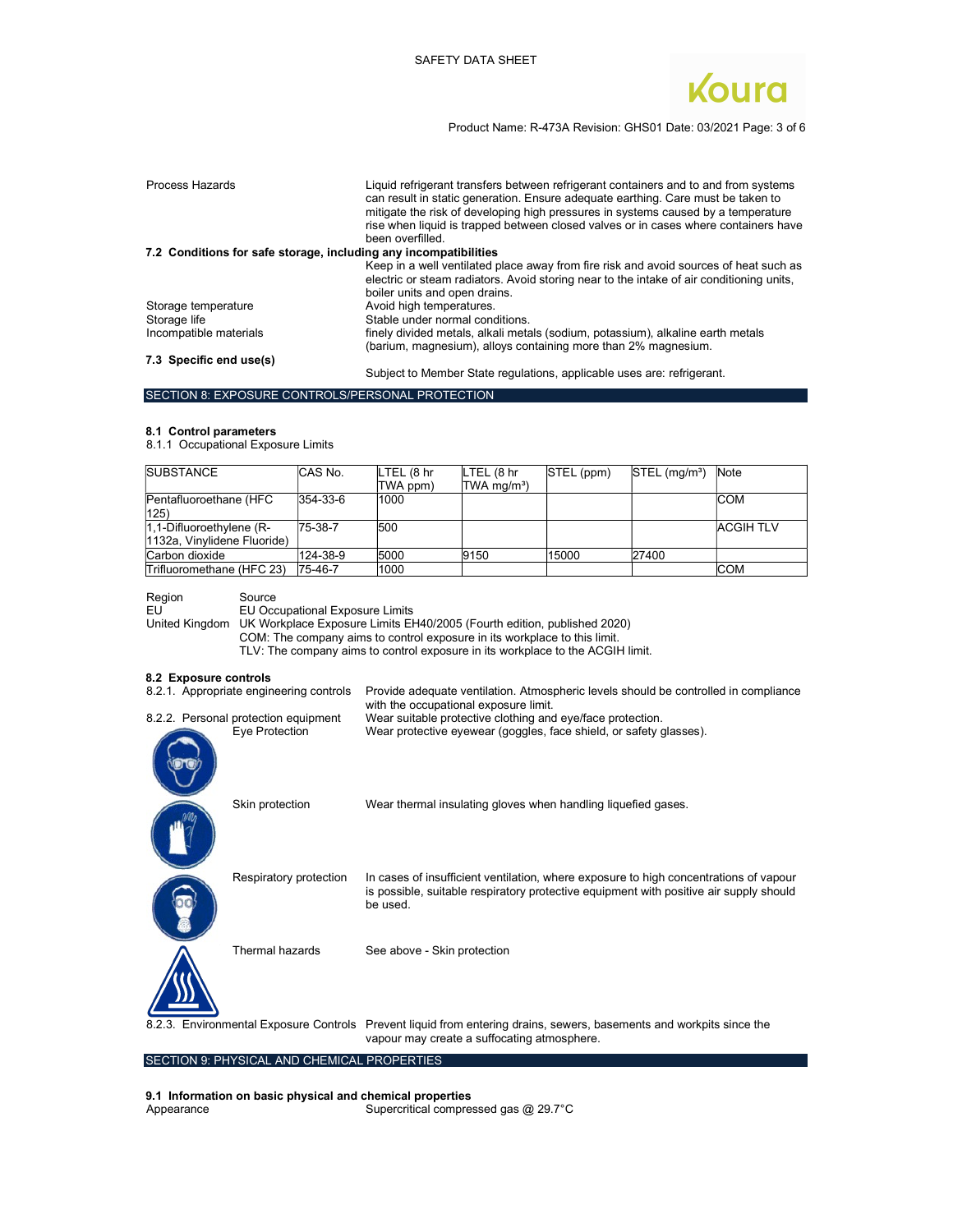

Product Name: R-473A Revision: GHS01 Date: 03/2021 Page: 3 of 6

| Process Hazards                                                  | Liquid refrigerant transfers between refrigerant containers and to and from systems<br>can result in static generation. Ensure adequate earthing. Care must be taken to<br>mitigate the risk of developing high pressures in systems caused by a temperature<br>rise when liquid is trapped between closed valves or in cases where containers have<br>been overfilled. |
|------------------------------------------------------------------|-------------------------------------------------------------------------------------------------------------------------------------------------------------------------------------------------------------------------------------------------------------------------------------------------------------------------------------------------------------------------|
| 7.2 Conditions for safe storage, including any incompatibilities |                                                                                                                                                                                                                                                                                                                                                                         |
|                                                                  | Keep in a well ventilated place away from fire risk and avoid sources of heat such as                                                                                                                                                                                                                                                                                   |
|                                                                  | electric or steam radiators. Avoid storing near to the intake of air conditioning units,                                                                                                                                                                                                                                                                                |
|                                                                  | boiler units and open drains.                                                                                                                                                                                                                                                                                                                                           |
| Storage temperature                                              | Avoid high temperatures.                                                                                                                                                                                                                                                                                                                                                |
| Storage life                                                     | Stable under normal conditions.                                                                                                                                                                                                                                                                                                                                         |
| Incompatible materials                                           | finely divided metals, alkali metals (sodium, potassium), alkaline earth metals                                                                                                                                                                                                                                                                                         |
|                                                                  | (barium, magnesium), alloys containing more than 2% magnesium.                                                                                                                                                                                                                                                                                                          |
| 7.3 Specific end use(s)                                          |                                                                                                                                                                                                                                                                                                                                                                         |
|                                                                  | Subject to Member State regulations, applicable uses are: refrigerant.                                                                                                                                                                                                                                                                                                  |

### SECTION 8: EXPOSURE CONTROLS/PERSONAL PROTECTION

#### 8.1 Control parameters

8.1.1 Occupational Exposure Limits

| <b>SUBSTANCE</b>             | CAS No.  | LTEL (8 hr | LTEL (8 hr              | STEL (ppm) | $STEL$ (mg/m <sup>3</sup> ) | Note            |
|------------------------------|----------|------------|-------------------------|------------|-----------------------------|-----------------|
|                              |          | TWA ppm)   | TWA mg/m <sup>3</sup> ) |            |                             |                 |
| Pentafluoroethane (HFC       | 354-33-6 | 1000       |                         |            |                             | <b>COM</b>      |
| 125)                         |          |            |                         |            |                             |                 |
| $ 1,1$ -Difluoroethylene (R- | 75-38-7  | 500        |                         |            |                             | <b>ACGIHTLV</b> |
| 1132a, Vinylidene Fluoride)  |          |            |                         |            |                             |                 |
| Carbon dioxide               | 124-38-9 | 5000       | 9150                    | 15000      | 27400                       |                 |
| Trifluoromethane (HFC 23)    | 75-46-7  | 1000       |                         |            |                             | <b>COM</b>      |

Region Source<br>EU EU Occ

EU EU Cocupational Exposure Limits<br>United Kingdom UK Workplace Exposure Limits EH UK Workplace Exposure Limits EH40/2005 (Fourth edition, published 2020)

COM: The company aims to control exposure in its workplace to this limit.

TLV: The company aims to control exposure in its workplace to the ACGIH limit.

#### 8.2 Exposure controls

| 8.2.1. Appropriate engineering controls                | Provide adequate ventilation. Atmospheric levels should be controlled in compliance<br>with the occupational exposure limit.                                                                |
|--------------------------------------------------------|---------------------------------------------------------------------------------------------------------------------------------------------------------------------------------------------|
| 8.2.2. Personal protection equipment<br>Eye Protection | Wear suitable protective clothing and eye/face protection.<br>Wear protective eyewear (goggles, face shield, or safety glasses).                                                            |
| Skin protection                                        | Wear thermal insulating gloves when handling liquefied gases.                                                                                                                               |
| Respiratory protection                                 | In cases of insufficient ventilation, where exposure to high concentrations of vapour<br>is possible, suitable respiratory protective equipment with positive air supply should<br>be used. |
| Thermal hazards                                        | See above - Skin protection                                                                                                                                                                 |
|                                                        | 8.2.3. Environmental Exposure Controls Prevent liquid from entering drains, sewers, basements and workpits since the<br>vapour may create a suffocating atmosphere.                         |

# SECTION 9: PHYSICAL AND CHEMICAL PROPERTIES

9.1 Information on basic physical and chemical properties<br>Appearance Supercritical compres Supercritical compressed gas  $@$  29.7°C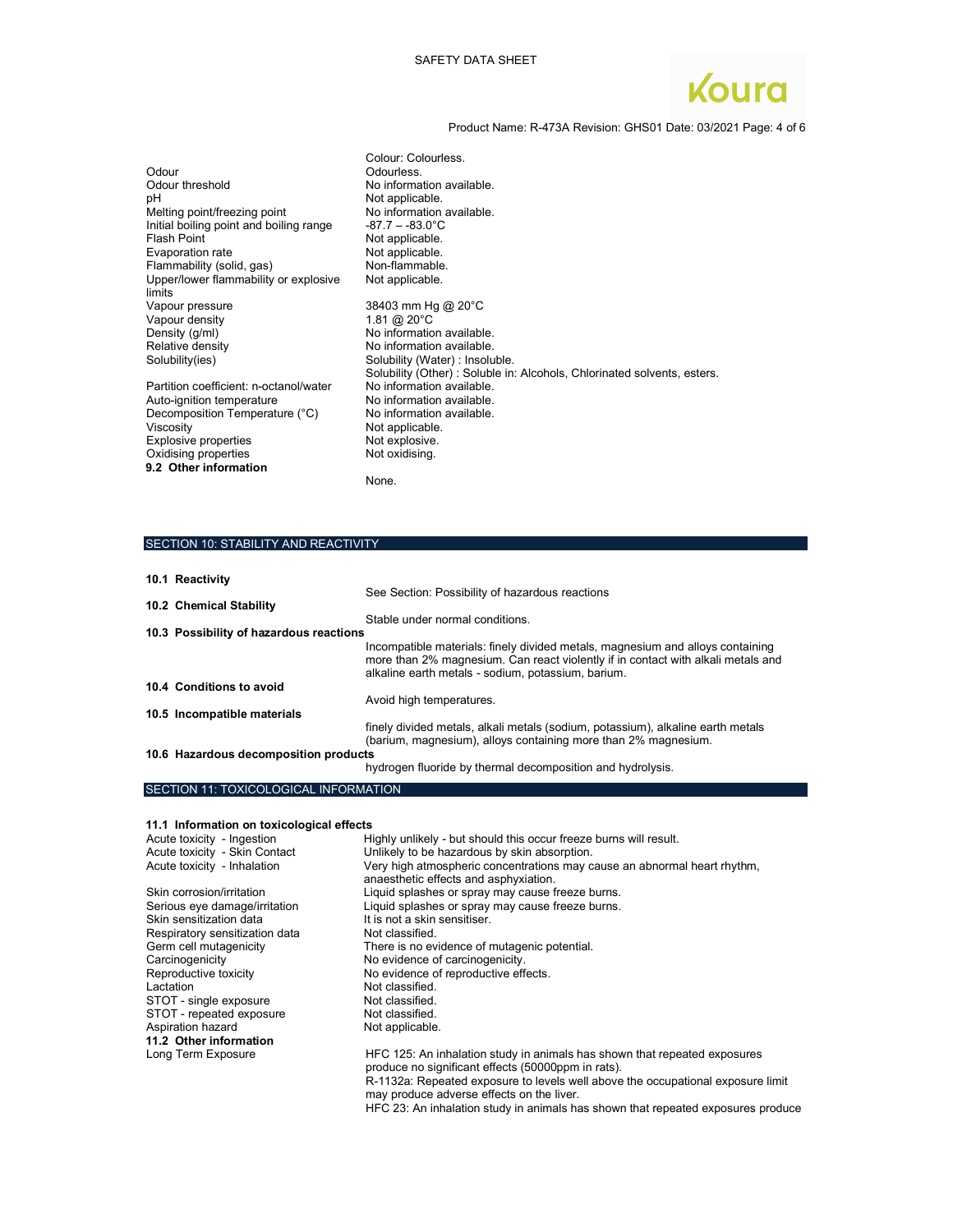

Product Name: R-473A Revision: GHS01 Date: 03/2021 Page: 4 of 6

| Colour: Colourless.                                                     |
|-------------------------------------------------------------------------|
| Odourless.                                                              |
| No information available.                                               |
| Not applicable.                                                         |
| No information available.                                               |
| $-87.7 - -83.0^{\circ}$ C                                               |
| Not applicable.                                                         |
| Not applicable.                                                         |
| Non-flammable.                                                          |
| Not applicable.                                                         |
| 38403 mm Hg @ 20°C                                                      |
| 1.81 @ $20^{\circ}$ C                                                   |
| No information available.                                               |
| No information available.                                               |
| Solubility (Water) : Insoluble.                                         |
| Solubility (Other): Soluble in: Alcohols, Chlorinated solvents, esters. |
| No information available.                                               |
| No information available.                                               |
| No information available.                                               |
| Not applicable.                                                         |
| Not explosive.                                                          |
| Not oxidising.                                                          |
|                                                                         |
| None.                                                                   |
|                                                                         |

### SECTION 10: STABILITY AND REACTIVITY

| 10.1 Reactivity                         |                                                                                                                                                                                                                          |
|-----------------------------------------|--------------------------------------------------------------------------------------------------------------------------------------------------------------------------------------------------------------------------|
|                                         | See Section: Possibility of hazardous reactions                                                                                                                                                                          |
| 10.2 Chemical Stability                 |                                                                                                                                                                                                                          |
| 10.3 Possibility of hazardous reactions | Stable under normal conditions.                                                                                                                                                                                          |
|                                         |                                                                                                                                                                                                                          |
|                                         | Incompatible materials: finely divided metals, magnesium and alloys containing<br>more than 2% magnesium. Can react violently if in contact with alkali metals and<br>alkaline earth metals - sodium, potassium, barium. |
| 10.4 Conditions to avoid                |                                                                                                                                                                                                                          |
|                                         | Avoid high temperatures.                                                                                                                                                                                                 |
| 10.5 Incompatible materials             |                                                                                                                                                                                                                          |
|                                         | finely divided metals, alkali metals (sodium, potassium), alkaline earth metals<br>(barium, magnesium), alloys containing more than 2% magnesium.                                                                        |
| 10.6 Hazardous decomposition products   |                                                                                                                                                                                                                          |
|                                         | hydrogen fluoride by thermal decomposition and hydrolysis.                                                                                                                                                               |

# SECTION 11: TOXICOLOGICAL INFORMATION

#### 11.1 Information on toxicological effects

| Acute toxicity - Ingestion     | Highly unlikely - but should this occur freeze burns will result.                                                                                                                                                  |
|--------------------------------|--------------------------------------------------------------------------------------------------------------------------------------------------------------------------------------------------------------------|
| Acute toxicity - Skin Contact  | Unlikely to be hazardous by skin absorption.                                                                                                                                                                       |
| Acute toxicity - Inhalation    | Very high atmospheric concentrations may cause an abnormal heart rhythm,<br>anaesthetic effects and asphyxiation.                                                                                                  |
| Skin corrosion/irritation      | Liquid splashes or spray may cause freeze burns.                                                                                                                                                                   |
| Serious eye damage/irritation  | Liquid splashes or spray may cause freeze burns.                                                                                                                                                                   |
| Skin sensitization data        | It is not a skin sensitiser.                                                                                                                                                                                       |
| Respiratory sensitization data | Not classified.                                                                                                                                                                                                    |
| Germ cell mutagenicity         | There is no evidence of mutagenic potential.                                                                                                                                                                       |
| Carcinogenicity                | No evidence of carcinogenicity.                                                                                                                                                                                    |
| Reproductive toxicity          | No evidence of reproductive effects.                                                                                                                                                                               |
| Lactation                      | Not classified.                                                                                                                                                                                                    |
| STOT - single exposure         | Not classified.                                                                                                                                                                                                    |
| STOT - repeated exposure       | Not classified.                                                                                                                                                                                                    |
| Aspiration hazard              | Not applicable.                                                                                                                                                                                                    |
| 11.2 Other information         |                                                                                                                                                                                                                    |
| Long Term Exposure             | HFC 125: An inhalation study in animals has shown that repeated exposures<br>produce no significant effects (50000ppm in rats).<br>R-1132a: Repeated exposure to levels well above the occupational exposure limit |
|                                | may produce adverse effects on the liver.                                                                                                                                                                          |

HFC 23: An inhalation study in animals has shown that repeated exposures produce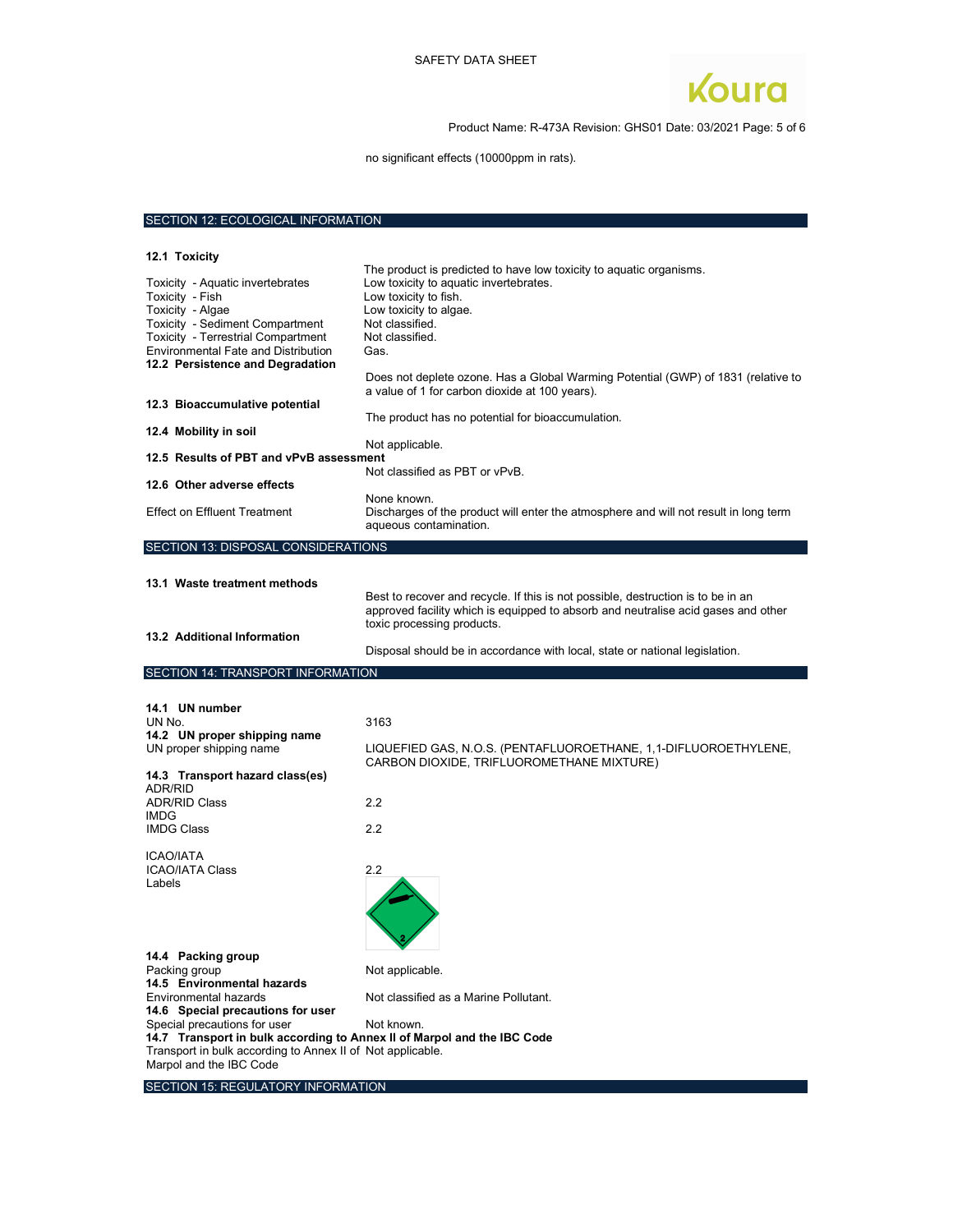

Product Name: R-473A Revision: GHS01 Date: 03/2021 Page: 5 of 6

no significant effects (10000ppm in rats).

# SECTION 12: ECOLOGICAL INFORMATION

| 12.1 Toxicity                                                                                                                                                                                                                      |                                                                                                                                                                                                                                                                                                     |
|------------------------------------------------------------------------------------------------------------------------------------------------------------------------------------------------------------------------------------|-----------------------------------------------------------------------------------------------------------------------------------------------------------------------------------------------------------------------------------------------------------------------------------------------------|
| Toxicity - Aquatic invertebrates<br>Toxicity - Fish<br>Toxicity - Algae<br>Toxicity - Sediment Compartment<br>Toxicity - Terrestrial Compartment<br><b>Environmental Fate and Distribution</b><br>12.2 Persistence and Degradation | The product is predicted to have low toxicity to aquatic organisms.<br>Low toxicity to aquatic invertebrates.<br>Low toxicity to fish.<br>Low toxicity to algae.<br>Not classified.<br>Not classified.<br>Gas.<br>Does not deplete ozone. Has a Global Warming Potential (GWP) of 1831 (relative to |
| 12.3 Bioaccumulative potential                                                                                                                                                                                                     | a value of 1 for carbon dioxide at 100 years).                                                                                                                                                                                                                                                      |
| 12.4 Mobility in soil                                                                                                                                                                                                              | The product has no potential for bioaccumulation.                                                                                                                                                                                                                                                   |
| 12.5 Results of PBT and vPvB assessment                                                                                                                                                                                            | Not applicable.                                                                                                                                                                                                                                                                                     |
| 12.6 Other adverse effects                                                                                                                                                                                                         | Not classified as PBT or vPvB                                                                                                                                                                                                                                                                       |
| <b>Effect on Effluent Treatment</b>                                                                                                                                                                                                | None known.<br>Discharges of the product will enter the atmosphere and will not result in long term<br>aqueous contamination.                                                                                                                                                                       |
| SECTION 13: DISPOSAL CONSIDERATIONS                                                                                                                                                                                                |                                                                                                                                                                                                                                                                                                     |
| 13.1 Waste treatment methods                                                                                                                                                                                                       | Best to recover and recycle. If this is not possible, destruction is to be in an<br>approved facility which is equipped to absorb and neutralise acid gases and other<br>toxic processing products.                                                                                                 |
| 13.2 Additional Information                                                                                                                                                                                                        |                                                                                                                                                                                                                                                                                                     |
|                                                                                                                                                                                                                                    | Disposal should be in accordance with local, state or national legislation.                                                                                                                                                                                                                         |
| SECTION 14: TRANSPORT INFORMATION                                                                                                                                                                                                  |                                                                                                                                                                                                                                                                                                     |
|                                                                                                                                                                                                                                    |                                                                                                                                                                                                                                                                                                     |
| 14.1 UN number<br>UN No.<br>14.2 UN proper shipping name<br>UN proper shipping name                                                                                                                                                | 3163<br>LIQUEFIED GAS, N.O.S. (PENTAFLUOROETHANE, 1,1-DIFLUOROETHYLENE,                                                                                                                                                                                                                             |
| 14.3 Transport hazard class(es)                                                                                                                                                                                                    | CARBON DIOXIDE, TRIFLUOROMETHANE MIXTURE)                                                                                                                                                                                                                                                           |
| ADR/RID<br><b>ADR/RID Class</b>                                                                                                                                                                                                    | 2.2                                                                                                                                                                                                                                                                                                 |
| <b>IMDG</b><br><b>IMDG Class</b>                                                                                                                                                                                                   | 2.2                                                                                                                                                                                                                                                                                                 |
| ICAO/IATA<br><b>ICAO/IATA Class</b><br>Labels                                                                                                                                                                                      | 2.2                                                                                                                                                                                                                                                                                                 |

SECTION 15: REGULATORY INFORMATION